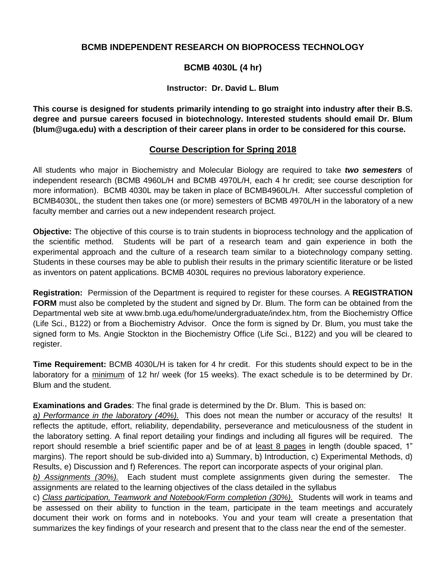### **BCMB INDEPENDENT RESEARCH ON BIOPROCESS TECHNOLOGY**

## **BCMB 4030L (4 hr)**

#### **Instructor: Dr. David L. Blum**

**This course is designed for students primarily intending to go straight into industry after their B.S. degree and pursue careers focused in biotechnology. Interested students should email Dr. Blum [\(blum@uga.edu\)](mailto:blum@uga.edu)) with a description of their career plans in order to be considered for this course.**

## **Course Description for Spring 2018**

All students who major in Biochemistry and Molecular Biology are required to take *two semesters* of independent research (BCMB 4960L/H and BCMB 4970L/H, each 4 hr credit; see course description for more information). BCMB 4030L may be taken in place of BCMB4960L/H. After successful completion of BCMB4030L, the student then takes one (or more) semesters of BCMB 4970L/H in the laboratory of a new faculty member and carries out a new independent research project.

**Objective:** The objective of this course is to train students in bioprocess technology and the application of the scientific method. Students will be part of a research team and gain experience in both the experimental approach and the culture of a research team similar to a biotechnology company setting. Students in these courses may be able to publish their results in the primary scientific literature or be listed as inventors on patent applications. BCMB 4030L requires no previous laboratory experience.

**Registration:** Permission of the Department is required to register for these courses. A **REGISTRATION FORM** must also be completed by the student and signed by Dr. Blum. The form can be obtained from the Departmental web site at [www.bmb.uga.edu/home/undergraduate/index.htm,](http://www.bmb.uga.edu/home/undergraduate/index.htm) from the Biochemistry Office (Life Sci., B122) or from a Biochemistry Advisor. Once the form is signed by Dr. Blum, you must take the signed form to Ms. Angie Stockton in the Biochemistry Office (Life Sci., B122) and you will be cleared to register.

**Time Requirement:** BCMB 4030L/H is taken for 4 hr credit. For this students should expect to be in the laboratory for a minimum of 12 hr/ week (for 15 weeks). The exact schedule is to be determined by Dr. Blum and the student.

**Examinations and Grades**: The final grade is determined by the Dr. Blum. This is based on:

*a) Performance in the laboratory (40%).* This does not mean the number or accuracy of the results! It reflects the aptitude, effort, reliability, dependability, perseverance and meticulousness of the student in the laboratory setting. A final report detailing your findings and including all figures will be required. The report should resemble a brief scientific paper and be of at least 8 pages in length (double spaced, 1" margins). The report should be sub-divided into a) Summary, b) Introduction, c) Experimental Methods, d) Results, e) Discussion and f) References. The report can incorporate aspects of your original plan.

*b) Assignments (30%).*Each student must complete assignments given during the semester. The assignments are related to the learning objectives of the class detailed in the syllabus

c) *Class participation, Teamwork and Notebook/Form completion (30%).* Students will work in teams and be assessed on their ability to function in the team, participate in the team meetings and accurately document their work on forms and in notebooks. You and your team will create a presentation that summarizes the key findings of your research and present that to the class near the end of the semester.